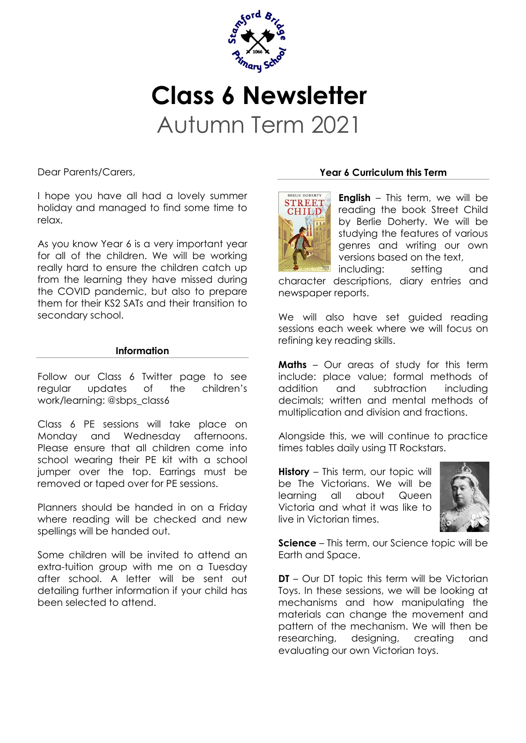

# **Class 6 Newsletter** Autumn Term 2021

Dear Parents/Carers,

I hope you have all had a lovely summer holiday and managed to find some time to relax.

As you know Year 6 is a very important year for all of the children. We will be working really hard to ensure the children catch up from the learning they have missed during the COVID pandemic, but also to prepare them for their KS2 SATs and their transition to secondary school.

#### **Information**

Follow our Class 6 Twitter page to see regular updates of the children's work/learning: @sbps\_class6

Class 6 PE sessions will take place on Monday and Wednesday afternoons. Please ensure that all children come into school wearing their PE kit with a school jumper over the top. Earrings must be removed or taped over for PE sessions.

Planners should be handed in on a Friday where reading will be checked and new spellings will be handed out.

Some children will be invited to attend an extra-tuition group with me on a Tuesday after school. A letter will be sent out detailing further information if your child has been selected to attend.

## **Year 6 Curriculum this Term**



**English** – This term, we will be reading the book Street Child by Berlie Doherty. We will be studying the features of various genres and writing our own versions based on the text,

including: setting and character descriptions, diary entries and newspaper reports.

We will also have set guided reading sessions each week where we will focus on refining key reading skills.

**Maths** – Our areas of study for this term include: place value; formal methods of addition and subtraction including decimals; written and mental methods of multiplication and division and fractions.

Alongside this, we will continue to practice times tables daily using TT Rockstars.

**History** – This term, our topic will be The Victorians. We will be learning all about Queen Victoria and what it was like to live in Victorian times.



**Science** – This term, our Science topic will be Earth and Space.

**DT** – Our DT topic this term will be Victorian Toys. In these sessions, we will be looking at mechanisms and how manipulating the materials can change the movement and pattern of the mechanism. We will then be researching, designing, creating and evaluating our own Victorian toys.